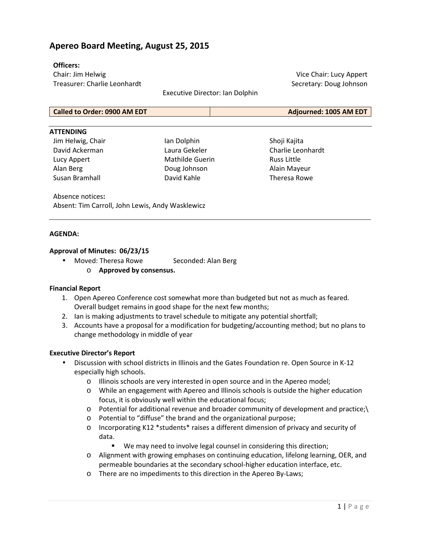# **Apereo Board Meeting, August 25, 2015**

### **Officers:**

Chair: Jim Helwig Treasurer: Charlie Leonhardt

Executive Director: Ian Dolphin

Vice Chair: Lucy Appert Secretary: Doug Johnson

| Called to Order: 0900 AM EDT | <b>Adjourned: 1005 AM EDT</b> |
|------------------------------|-------------------------------|

#### **ATTENDING**

Jim Helwig, Chair David Ackerman Lucy Appert Alan Berg Susan Bramhall

Ian Dolphin Laura Gekeler Mathilde Guerin Doug Johnson David Kahle

Shoji Kajita Charlie Leonhardt Russ Little Alain Mayeur Theresa Rowe

Absence notices**:** Absent: Tim Carroll, John Lewis, Andy Wasklewicz

#### **AGENDA:**

### **Approval of Minutes: 06/23/15**

- Moved: Theresa Rowe Seconded: Alan Berg
	- o **Approved by consensus.**

#### **Financial Report**

- 1. Open Apereo Conference cost somewhat more than budgeted but not as much as feared. Overall budget remains in good shape for the next few months;
- 2. Ian is making adjustments to travel schedule to mitigate any potential shortfall;
- 3. Accounts have a proposal for a modification for budgeting/accounting method; but no plans to change methodology in middle of year

#### **Executive Director's Report**

- Discussion with school districts in Illinois and the Gates Foundation re. Open Source in K-12 especially high schools.
	- o Illinois schools are very interested in open source and in the Apereo model;
	- o While an engagement with Apereo and Illinois schools is outside the higher education focus, it is obviously well within the educational focus;
	- o Potential for additional revenue and broader community of development and practice;\
	- o Potential to "diffuse" the brand and the organizational purpose;
	- o Incorporating K12 \*students\* raises a different dimension of privacy and security of data.
		- We may need to involve legal counsel in considering this direction;
	- o Alignment with growing emphases on continuing education, lifelong learning, OER, and permeable boundaries at the secondary school-higher education interface, etc.
	- o There are no impediments to this direction in the Apereo By-Laws;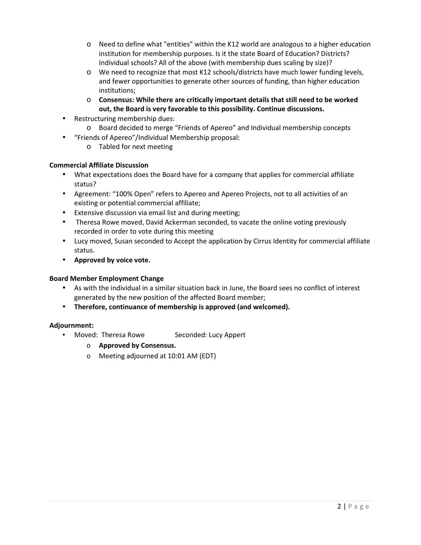- o Need to define what "entities" within the K12 world are analogous to a higher education institution for membership purposes. Is it the state Board of Education? Districts? Individual schools? All of the above (with membership dues scaling by size)?
- o We need to recognize that most K12 schools/districts have much lower funding levels, and fewer opportunities to generate other sources of funding, than higher education institutions;
- o **Consensus: While there are critically important details that still need to be worked out, the Board is very favorable to this possibility. Continue discussions.**
- Restructuring membership dues:
	- o Board decided to merge "Friends of Apereo" and Individual membership concepts
- "Friends of Apereo"/Individual Membership proposal:
	- o Tabled for next meeting

## **Commercial Affiliate Discussion**

- What expectations does the Board have for a company that applies for commercial affiliate status?
- Agreement: "100% Open" refers to Apereo and Apereo Projects, not to all activities of an existing or potential commercial affiliate;
- Extensive discussion via email list and during meeting;
- Theresa Rowe moved, David Ackerman seconded, to vacate the online voting previously recorded in order to vote during this meeting
- Lucy moved, Susan seconded to Accept the application by Cirrus Identity for commercial affiliate status.
- **Approved by voice vote.**

# **Board Member Employment Change**

- As with the individual in a similar situation back in June, the Board sees no conflict of interest generated by the new position of the affected Board member;
- **Therefore, continuance of membership is approved (and welcomed).**

# **Adjournment:**

- Moved: Theresa Rowe Seconded: Lucy Appert
	- o **Approved by Consensus.**
	- o Meeting adjourned at 10:01 AM (EDT)